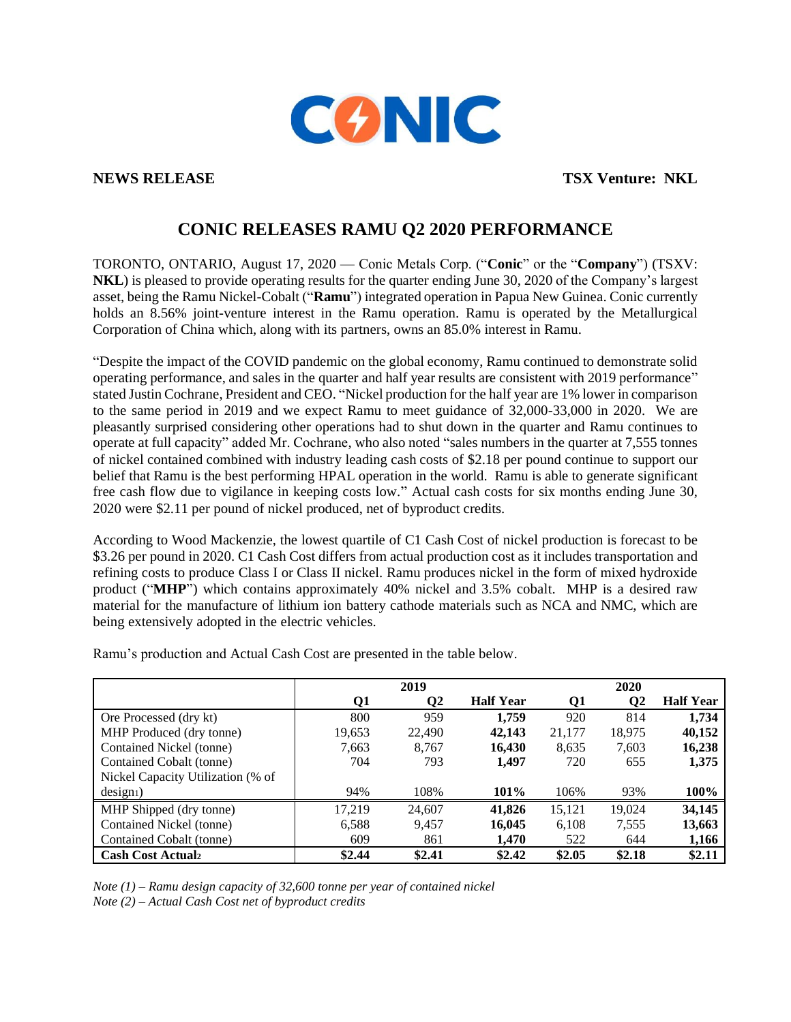

**NEWS RELEASE TSX Venture: NKL** 

# **CONIC RELEASES RAMU Q2 2020 PERFORMANCE**

TORONTO, ONTARIO, August 17, 2020 — Conic Metals Corp. ("**Conic**" or the "**Company**") (TSXV: **NKL**) is pleased to provide operating results for the quarter ending June 30, 2020 of the Company's largest asset, being the Ramu Nickel-Cobalt ("**Ramu**") integrated operation in Papua New Guinea. Conic currently holds an 8.56% joint-venture interest in the Ramu operation. Ramu is operated by the Metallurgical Corporation of China which, along with its partners, owns an 85.0% interest in Ramu.

"Despite the impact of the COVID pandemic on the global economy, Ramu continued to demonstrate solid operating performance, and sales in the quarter and half year results are consistent with 2019 performance" stated Justin Cochrane, President and CEO. "Nickel production for the half year are 1% lower in comparison to the same period in 2019 and we expect Ramu to meet guidance of 32,000-33,000 in 2020. We are pleasantly surprised considering other operations had to shut down in the quarter and Ramu continues to operate at full capacity" added Mr. Cochrane, who also noted "sales numbers in the quarter at 7,555 tonnes of nickel contained combined with industry leading cash costs of \$2.18 per pound continue to support our belief that Ramu is the best performing HPAL operation in the world. Ramu is able to generate significant free cash flow due to vigilance in keeping costs low." Actual cash costs for six months ending June 30, 2020 were \$2.11 per pound of nickel produced, net of byproduct credits.

According to Wood Mackenzie, the lowest quartile of C1 Cash Cost of nickel production is forecast to be \$3.26 per pound in 2020. C1 Cash Cost differs from actual production cost as it includes transportation and refining costs to produce Class I or Class II nickel. Ramu produces nickel in the form of mixed hydroxide product ("**MHP**") which contains approximately 40% nickel and 3.5% cobalt. MHP is a desired raw material for the manufacture of lithium ion battery cathode materials such as NCA and NMC, which are being extensively adopted in the electric vehicles.

|                                   |        | 2019     |                  |        | 2020     |                  |
|-----------------------------------|--------|----------|------------------|--------|----------|------------------|
|                                   | Q1     | $\bf Q2$ | <b>Half Year</b> | 01     | $\bf Q2$ | <b>Half Year</b> |
| Ore Processed (dry kt)            | 800    | 959      | 1.759            | 920    | 814      | 1,734            |
| MHP Produced (dry tonne)          | 19,653 | 22,490   | 42,143           | 21,177 | 18,975   | 40,152           |
| Contained Nickel (tonne)          | 7,663  | 8,767    | 16,430           | 8,635  | 7,603    | 16,238           |
| Contained Cobalt (tonne)          | 704    | 793      | 1,497            | 720    | 655      | 1,375            |
| Nickel Capacity Utilization (% of |        |          |                  |        |          |                  |
| $design1$ )                       | 94%    | 108%     | 101%             | 106%   | 93%      | 100%             |
| MHP Shipped (dry tonne)           | 17.219 | 24,607   | 41,826           | 15,121 | 19,024   | 34,145           |
| Contained Nickel (tonne)          | 6,588  | 9,457    | 16,045           | 6,108  | 7,555    | 13,663           |
| Contained Cobalt (tonne)          | 609    | 861      | 1,470            | 522    | 644      | 1,166            |
| <b>Cash Cost Actualz</b>          | \$2.44 | \$2.41   | \$2.42           | \$2.05 | \$2.18   | \$2.11           |

Ramu's production and Actual Cash Cost are presented in the table below.

*Note (1) – Ramu design capacity of 32,600 tonne per year of contained nickel Note (2) – Actual Cash Cost net of byproduct credits*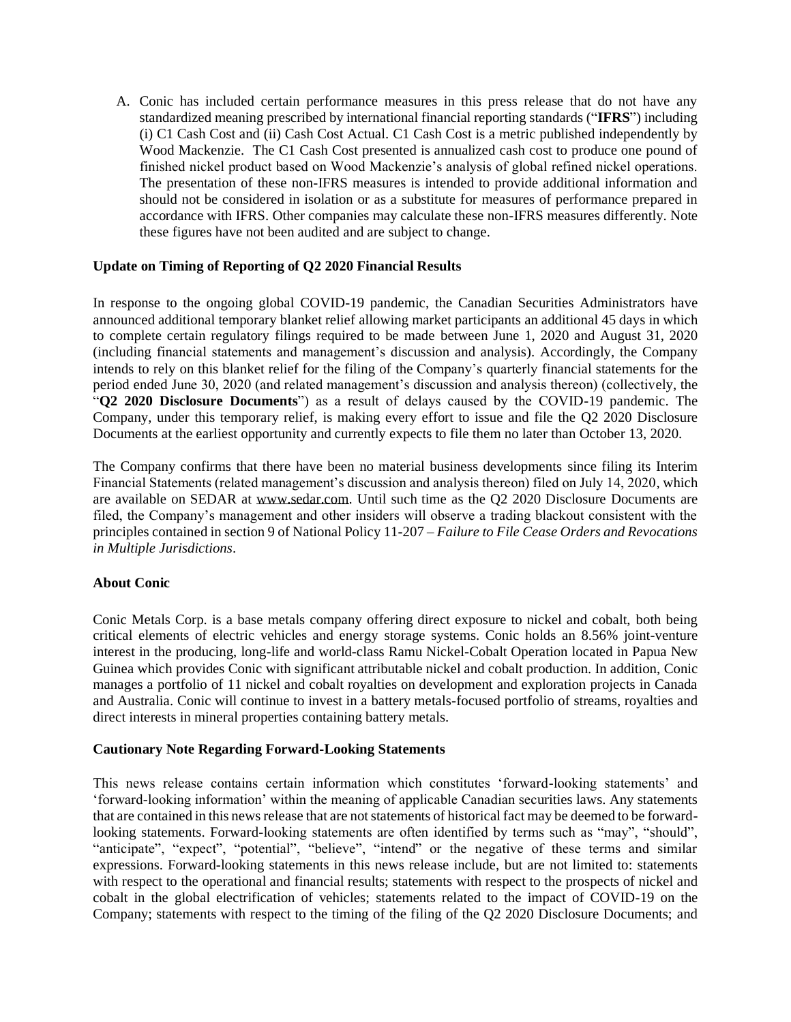A. Conic has included certain performance measures in this press release that do not have any standardized meaning prescribed by international financial reporting standards ("**IFRS**") including (i) C1 Cash Cost and (ii) Cash Cost Actual. C1 Cash Cost is a metric published independently by Wood Mackenzie. The C1 Cash Cost presented is annualized cash cost to produce one pound of finished nickel product based on Wood Mackenzie's analysis of global refined nickel operations. The presentation of these non-IFRS measures is intended to provide additional information and should not be considered in isolation or as a substitute for measures of performance prepared in accordance with IFRS. Other companies may calculate these non-IFRS measures differently. Note these figures have not been audited and are subject to change.

## **Update on Timing of Reporting of Q2 2020 Financial Results**

In response to the ongoing global COVID-19 pandemic, the Canadian Securities Administrators have announced additional temporary blanket relief allowing market participants an additional 45 days in which to complete certain regulatory filings required to be made between June 1, 2020 and August 31, 2020 (including financial statements and management's discussion and analysis). Accordingly, the Company intends to rely on this blanket relief for the filing of the Company's quarterly financial statements for the period ended June 30, 2020 (and related management's discussion and analysis thereon) (collectively, the "**Q2 2020 Disclosure Documents**") as a result of delays caused by the COVID-19 pandemic. The Company, under this temporary relief, is making every effort to issue and file the Q2 2020 Disclosure Documents at the earliest opportunity and currently expects to file them no later than October 13, 2020.

The Company confirms that there have been no material business developments since filing its Interim Financial Statements (related management's discussion and analysis thereon) filed on July 14, 2020, which are available on SEDAR at www.sedar.com. Until such time as the Q2 2020 Disclosure Documents are filed, the Company's management and other insiders will observe a trading blackout consistent with the principles contained in section 9 of National Policy 11-207 – *Failure to File Cease Orders and Revocations in Multiple Jurisdictions*.

## **About Conic**

Conic Metals Corp. is a base metals company offering direct exposure to nickel and cobalt, both being critical elements of electric vehicles and energy storage systems. Conic holds an 8.56% joint-venture interest in the producing, long-life and world-class Ramu Nickel-Cobalt Operation located in Papua New Guinea which provides Conic with significant attributable nickel and cobalt production. In addition, Conic manages a portfolio of 11 nickel and cobalt royalties on development and exploration projects in Canada and Australia. Conic will continue to invest in a battery metals-focused portfolio of streams, royalties and direct interests in mineral properties containing battery metals.

## **Cautionary Note Regarding Forward-Looking Statements**

This news release contains certain information which constitutes 'forward-looking statements' and 'forward-looking information' within the meaning of applicable Canadian securities laws. Any statements that are contained in this news release that are not statements of historical fact may be deemed to be forwardlooking statements. Forward-looking statements are often identified by terms such as "may", "should", "anticipate", "expect", "potential", "believe", "intend" or the negative of these terms and similar expressions. Forward-looking statements in this news release include, but are not limited to: statements with respect to the operational and financial results; statements with respect to the prospects of nickel and cobalt in the global electrification of vehicles; statements related to the impact of COVID-19 on the Company; statements with respect to the timing of the filing of the Q2 2020 Disclosure Documents; and